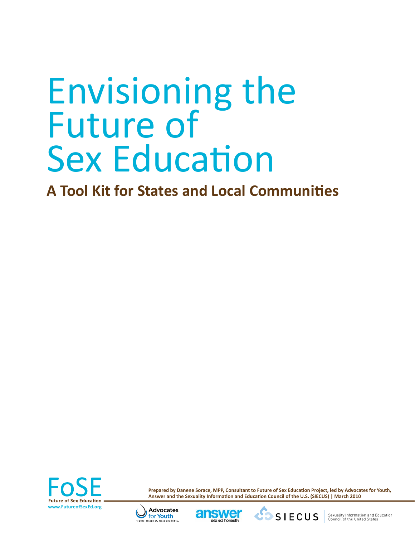# Envisioning the Future of Sex Education

**A Tool Kit for States and Local Communities**



**Prepared by Danene Sorace, MPP, Consultant to Future of Sex Education Project, led by Advocates for Youth, Answer and the Sexuality Information and Education Council of the U.S. (SIECUS) | March 2010** 





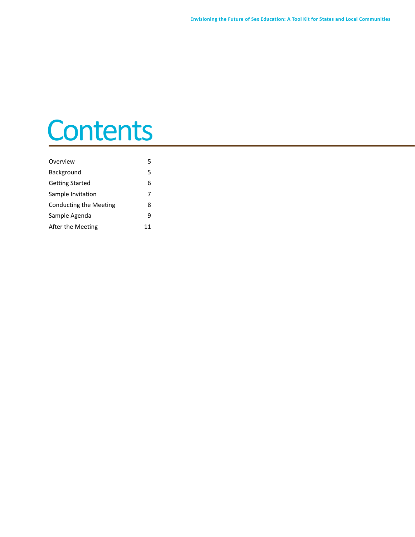### **Contents**

| Overview               | 5  |
|------------------------|----|
| Background             | 5  |
| Getting Started        | 6  |
| Sample Invitation      | 7  |
| Conducting the Meeting | 8  |
| Sample Agenda          | q  |
| After the Meeting      | 11 |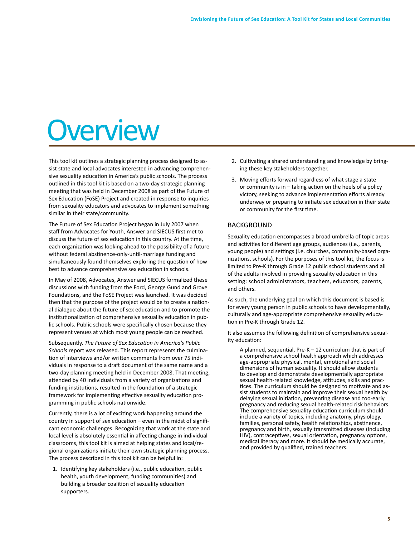## **Overview**

This tool kit outlines a strategic planning process designed to assist state and local advocates interested in advancing comprehensive sexuality education in America's public schools. The process outlined in this tool kit is based on a two-day strategic planning meeting that was held in December 2008 as part of the Future of Sex Education (FoSE) Project and created in response to inquiries from sexuality educators and advocates to implement something similar in their state/community.

The Future of Sex Education Project began in July 2007 when staff from Advocates for Youth, Answer and SIECUS first met to discuss the future of sex education in this country. At the time, each organization was looking ahead to the possibility of a future without federal abstinence-only-until-marriage funding and simultaneously found themselves exploring the question of how best to advance comprehensive sex education in schools.

In May of 2008, Advocates, Answer and SIECUS formalized these discussions with funding from the Ford, George Gund and Grove Foundations, and the FoSE Project was launched. It was decided then that the purpose of the project would be to create a national dialogue about the future of sex education and to promote the institutionalization of comprehensive sexuality education in public schools. Public schools were specifically chosen because they represent venues at which most young people can be reached.

Subsequently, *The Future of Sex Education in America's Public Schools* report was released. This report represents the culmination of interviews and/or written comments from over 75 individuals in response to a draft document of the same name and a two-day planning meeting held in December 2008. That meeting, attended by 40 individuals from a variety of organizations and funding institutions, resulted in the foundation of a strategic framework for implementing effective sexuality education programming in public schools nationwide.

Currently, there is a lot of exciting work happening around the country in support of sex education – even in the midst of significant economic challenges. Recognizing that work at the state and local level is absolutely essential in affecting change in individual classrooms, this tool kit is aimed at helping states and local/regional organizations initiate their own strategic planning process. The process described in this tool kit can be helpful in:

1. Identifying key stakeholders (i.e., public education, public health, youth development, funding communities) and building a broader coalition of sexuality education supporters.

- 2. Cultivating a shared understanding and knowledge by bringing these key stakeholders together.
- 3. Moving efforts forward regardless of what stage a state or community is in – taking action on the heels of a policy victory, seeking to advance implementation efforts already underway or preparing to initiate sex education in their state or community for the first time.

### BACKGROUND

Sexuality education encompasses a broad umbrella of topic areas and activities for different age groups, audiences (i.e., parents, young people) and settings (i.e. churches, community-based organizations, schools). For the purposes of this tool kit, the focus is limited to Pre-K through Grade 12 public school students and all of the adults involved in providing sexuality education in this setting: school administrators, teachers, educators, parents, and others.

As such, the underlying goal on which this document is based is for every young person in public schools to have developmentally, culturally and age-appropriate comprehensive sexuality education in Pre-K through Grade 12.

It also assumes the following definition of comprehensive sexuality education:

A planned, sequential, Pre-K – 12 curriculum that is part of a comprehensive school health approach which addresses age-appropriate physical, mental, emotional and social dimensions of human sexuality. It should allow students to develop and demonstrate developmentally appropriate sexual health-related knowledge, attitudes, skills and practices. The curriculum should be designed to motivate and assist students to maintain and improve their sexual health by delaying sexual initiation, preventing disease and too-early pregnancy and reducing sexual health-related risk behaviors. The comprehensive sexuality education curriculum should include a variety of topics, including anatomy, physiology, families, personal safety, health relationships, abstinence, pregnancy and birth, sexually transmitted diseases (including HIV), contraceptives, sexual orientation, pregnancy options, medical literacy and more. It should be medically accurate, and provided by qualified, trained teachers.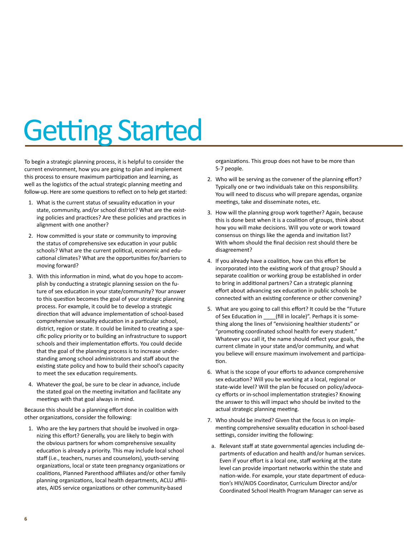## Getting Started

To begin a strategic planning process, it is helpful to consider the current environment, how you are going to plan and implement this process to ensure maximum participation and learning, as well as the logistics of the actual strategic planning meeting and follow-up. Here are some questions to reflect on to help get started:

- 1. What is the current status of sexuality education in your state, community, and/or school district? What are the existing policies and practices? Are these policies and practices in alignment with one another?
- 2. How committed is your state or community to improving the status of comprehensive sex education in your public schools? What are the current political, economic and educational climates? What are the opportunities for/barriers to moving forward?
- 3. With this information in mind, what do you hope to accomplish by conducting a strategic planning session on the future of sex education in your state/community? Your answer to this question becomes the goal of your strategic planning process. For example, it could be to develop a strategic direction that will advance implementation of school-based comprehensive sexuality education in a particular school, district, region or state. It could be limited to creating a specific policy priority or to building an infrastructure to support schools and their implementation efforts. You could decide that the goal of the planning process is to increase understanding among school administrators and staff about the existing state policy and how to build their school's capacity to meet the sex education requirements.
- 4. Whatever the goal, be sure to be clear in advance, include the stated goal on the meeting invitation and facilitate any meetings with that goal always in mind.

Because this should be a planning effort done in coalition with other organizations, consider the following:

1. Who are the key partners that should be involved in organizing this effort? Generally, you are likely to begin with the obvious partners for whom comprehensive sexuality education is already a priority. This may include local school staff (i.e., teachers, nurses and counselors), youth-serving organizations, local or state teen pregnancy organizations or coalitions, Planned Parenthood affiliates and/or other family planning organizations, local health departments, ACLU affiliates, AIDS service organizations or other community-based

organizations. This group does not have to be more than 5-7 people.

- 2. Who will be serving as the convener of the planning effort? Typically one or two individuals take on this responsibility. You will need to discuss who will prepare agendas, organize meetings, take and disseminate notes, etc.
- 3. How will the planning group work together? Again, because this is done best when it is a coalition of groups, think about how you will make decisions. Will you vote or work toward consensus on things like the agenda and invitation list? With whom should the final decision rest should there be disagreement?
- 4. If you already have a coalition, how can this effort be incorporated into the existing work of that group? Should a separate coalition or working group be established in order to bring in additional partners? Can a strategic planning effort about advancing sex education in public schools be connected with an existing conference or other convening?
- 5. What are you going to call this effort? It could be the "Future of Sex Education in \_\_\_\_(fill in locale)". Perhaps it is something along the lines of "envisioning healthier students" or "promoting coordinated school health for every student." Whatever you call it, the name should reflect your goals, the current climate in your state and/or community, and what you believe will ensure maximum involvement and participation.
- 6. What is the scope of your efforts to advance comprehensive sex education? Will you be working at a local, regional or state-wide level? Will the plan be focused on policy/advocacy efforts or in-school implementation strategies? Knowing the answer to this will impact who should be invited to the actual strategic planning meeting.
- 7. Who should be invited? Given that the focus is on implementing comprehensive sexuality education in school-based settings, consider inviting the following:
- a. Relevant staff at state governmental agencies including departments of education and health and/or human services. Even if your effort is a local one, staff working at the state level can provide important networks within the state and nation-wide. For example, your state department of education's HIV/AIDS Coordinator, Curriculum Director and/or Coordinated School Health Program Manager can serve as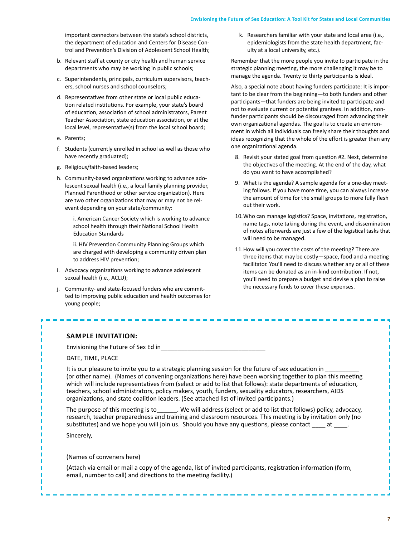### **Envisioning the Future of Sex Education: A Tool Kit for States and Local Communities**

important connectors between the state's school districts, the department of education and Centers for Disease Control and Prevention's Division of Adolescent School Health;

- b. Relevant staff at county or city health and human service departments who may be working in public schools;
- c. Superintendents, principals, curriculum supervisors, teachers, school nurses and school counselors;
- d. Representatives from other state or local public education related institutions. For example, your state's board of education, association of school administrators, Parent Teacher Association, state education association, or at the local level, representative(s) from the local school board;
- e. Parents;
- f. Students (currently enrolled in school as well as those who have recently graduated);
- g. Religious/faith-based leaders;
- h. Community-based organizations working to advance adolescent sexual health (i.e., a local family planning provider, Planned Parenthood or other service organization). Here are two other organizations that may or may not be relevant depending on your state/community:

i. American Cancer Society which is working to advance school health through their National School Health Education Standards

ii. HIV Prevention Community Planning Groups which are charged with developing a community driven plan to address HIV prevention;

- i. Advocacy organizations working to advance adolescent sexual health (i.e., ACLU);
- j. Community- and state-focused funders who are committed to improving public education and health outcomes for young people;

k. Researchers familiar with your state and local area (i.e., epidemiologists from the state health department, faculty at a local university, etc.).

Remember that the more people you invite to participate in the strategic planning meeting, the more challenging it may be to manage the agenda. Twenty to thirty participants is ideal.

Also, a special note about having funders participate: It is important to be clear from the beginning—to both funders and other participants—that funders are being invited to participate and not to evaluate current or potential grantees. In addition, nonfunder participants should be discouraged from advancing their own organizational agendas. The goal is to create an environment in which all individuals can freely share their thoughts and ideas recognizing that the whole of the effort is greater than any one organizational agenda.

- 8. Revisit your stated goal from question #2. Next, determine the objectives of the meeting. At the end of the day, what do you want to have accomplished?
- 9. What is the agenda? A sample agenda for a one-day meeting follows. If you have more time, you can always increase the amount of time for the small groups to more fully flesh out their work.
- 10.Who can manage logistics? Space, invitations, registration, name tags, note taking during the event, and dissemination of notes afterwards are just a few of the logistical tasks that will need to be managed.
- 11.How will you cover the costs of the meeting? There are three items that may be costly—space, food and a meeting facilitator. You'll need to discuss whether any or all of these items can be donated as an in-kind contribution. If not, you'll need to prepare a budget and devise a plan to raise the necessary funds to cover these expenses.

### **Sample Invitation:**

Envisioning the Future of Sex Ed in Letture and the Future of Sex Ed in

DATE, TIME, PLACE

It is our pleasure to invite you to a strategic planning session for the future of sex education in (or other name). (Names of convening organizations here) have been working together to plan this meeting which will include representatives from (select or add to list that follows): state departments of education, teachers, school administrators, policy makers, youth, funders, sexuality educators, researchers, AIDS organizations, and state coalition leaders. (See attached list of invited participants.)

The purpose of this meeting is to\_\_\_\_\_\_. We will address (select or add to list that follows) policy, advocacy, research, teacher preparedness and training and classroom resources. This meeting is by invitation only (no substitutes) and we hope you will join us. Should you have any questions, please contact \_\_\_\_ at \_\_\_\_.

Sincerely,

(Names of conveners here)

(Attach via email or mail a copy of the agenda, list of invited participants, registration information (form, email, number to call) and directions to the meeting facility.)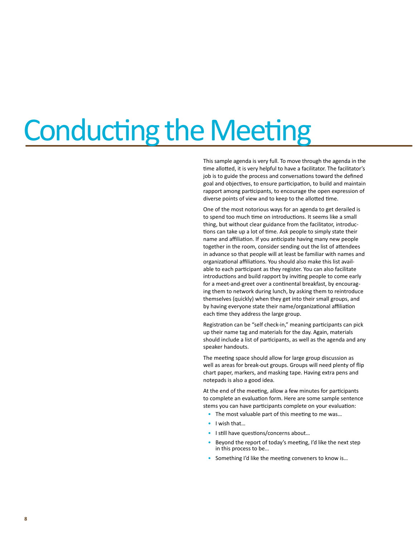## Conducting the Meeting

This sample agenda is very full. To move through the agenda in the time allotted, it is very helpful to have a facilitator. The facilitator's job is to guide the process and conversations toward the defined goal and objectives, to ensure participation, to build and maintain rapport among participants, to encourage the open expression of diverse points of view and to keep to the allotted time.

One of the most notorious ways for an agenda to get derailed is to spend too much time on introductions. It seems like a small thing, but without clear guidance from the facilitator, introductions can take up a lot of time. Ask people to simply state their name and affiliation. If you anticipate having many new people together in the room, consider sending out the list of attendees in advance so that people will at least be familiar with names and organizational affiliations. You should also make this list available to each participant as they register. You can also facilitate introductions and build rapport by inviting people to come early for a meet-and-greet over a continental breakfast, by encouraging them to network during lunch, by asking them to reintroduce themselves (quickly) when they get into their small groups, and by having everyone state their name/organizational affiliation each time they address the large group.

Registration can be "self check-in," meaning participants can pick up their name tag and materials for the day. Again, materials should include a list of participants, as well as the agenda and any speaker handouts.

The meeting space should allow for large group discussion as well as areas for break-out groups. Groups will need plenty of flip chart paper, markers, and masking tape. Having extra pens and notepads is also a good idea.

At the end of the meeting, allow a few minutes for participants to complete an evaluation form. Here are some sample sentence stems you can have participants complete on your evaluation:

- The most valuable part of this meeting to me was...
- I wish that…
- I still have questions/concerns about…
- Beyond the report of today's meeting, I'd like the next step in this process to be…
- Something I'd like the meeting conveners to know is...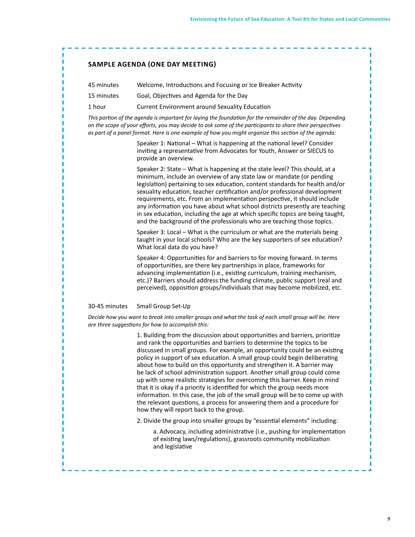### **Sample Agenda (one day meeting)**

| 45 minutes | Welcome, Introductions and Focusing or Ice Breaker Activity |
|------------|-------------------------------------------------------------|
| 15 minutes | Goal, Objectives and Agenda for the Day                     |

1 hour Current Environment around Sexuality Education

*This portion of the agenda is important for laying the foundation for the remainder of the day. Depending on the scope of your efforts, you may decide to ask some of the participants to share their perspectives as part of a panel format. Here is one example of how you might organize this section of the agenda:*

> Speaker 1: National – What is happening at the national level? Consider inviting a representative from Advocates for Youth, Answer or SIECUS to provide an overview.

Speaker 2: State – What is happening at the state level? This should, at a minimum, include an overview of any state law or mandate (or pending legislation) pertaining to sex education, content standards for health and/or sexuality education, teacher certification and/or professional development requirements, etc. From an implementation perspective, it should include any information you have about what school districts presently are teaching in sex education, including the age at which specific topics are being taught, and the background of the professionals who are teaching those topics.

Speaker 3: Local – What is the curriculum or what are the materials being taught in your local schools? Who are the key supporters of sex education? What local data do you have?

Speaker 4: Opportunities for and barriers to for moving forward. In terms of opportunities, are there key partnerships in place, frameworks for advancing implementation (i.e., existing curriculum, training mechanism, etc.)? Barriers should address the funding climate, public support (real and perceived), opposition groups/individuals that may become mobilized, etc.

### 30-45 minutes Small Group Set-Up

*Decide how you want to break into smaller groups and what the task of each small group will be. Here are three suggestions for how to accomplish this:*

> 1. Building from the discussion about opportunities and barriers, prioritize and rank the opportunities and barriers to determine the topics to be discussed in small groups. For example, an opportunity could be an existing policy in support of sex education. A small group could begin deliberating about how to build on this opportunity and strengthen it. A barrier may be lack of school administration support. Another small group could come up with some realistic strategies for overcoming this barrier. Keep in mind that it is okay if a priority is identified for which the group needs more information. In this case, the job of the small group will be to come up with the relevant questions, a process for answering them and a procedure for how they will report back to the group.

2. Divide the group into smaller groups by "essential elements" including:

a. Advocacy, including administrative (i.e., pushing for implementation of existing laws/regulations), grassroots community mobilization and legislative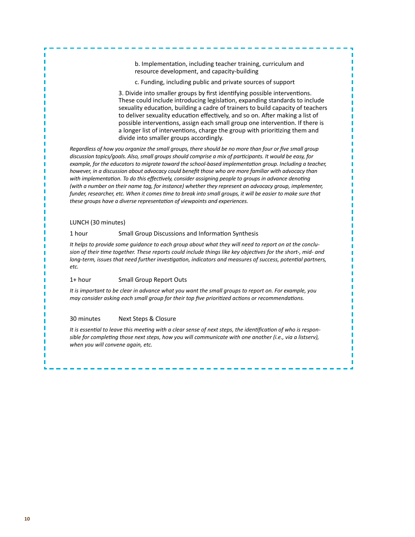b. Implementation, including teacher training, curriculum and resource development, and capacity-building

c. Funding, including public and private sources of support

3. Divide into smaller groups by first identifying possible interventions. These could include introducing legislation, expanding standards to include sexuality education, building a cadre of trainers to build capacity of teachers to deliver sexuality education effectively, and so on. After making a list of possible interventions, assign each small group one intervention. If there is a longer list of interventions, charge the group with prioritizing them and divide into smaller groups accordingly.

*Regardless of how you organize the small groups, there should be no more than four or five small group discussion topics/goals. Also, small groups should comprise a mix of participants. It would be easy, for example, for the educators to migrate toward the school-based implementation group. Including a teacher, however, in a discussion about advocacy could benefit those who are more familiar with advocacy than*  with implementation. To do this effectively, consider assigning people to groups in advance denoting *(with a number on their name tag, for instance) whether they represent an advocacy group, implementer, funder, researcher, etc. When it comes time to break into small groups, it will be easier to make sure that these groups have a diverse representation of viewpoints and experiences.*

### LUNCH (30 minutes)

### 1 hour Small Group Discussions and Information Synthesis

*It helps to provide some guidance to each group about what they will need to report on at the conclusion of their time together. These reports could include things like key objectives for the short-, mid- and long-term, issues that need further investigation, indicators and measures of success, potential partners, etc.*

### 1+ hour Small Group Report Outs

*It is important to be clear in advance what you want the small groups to report on. For example, you may consider asking each small group for their top five prioritized actions or recommendations.*

### 30 minutes Next Steps & Closure

*It is essential to leave this meeting with a clear sense of next steps, the identification of who is responsible for completing those next steps, how you will communicate with one another (i.e., via a listserv), when you will convene again, etc.*